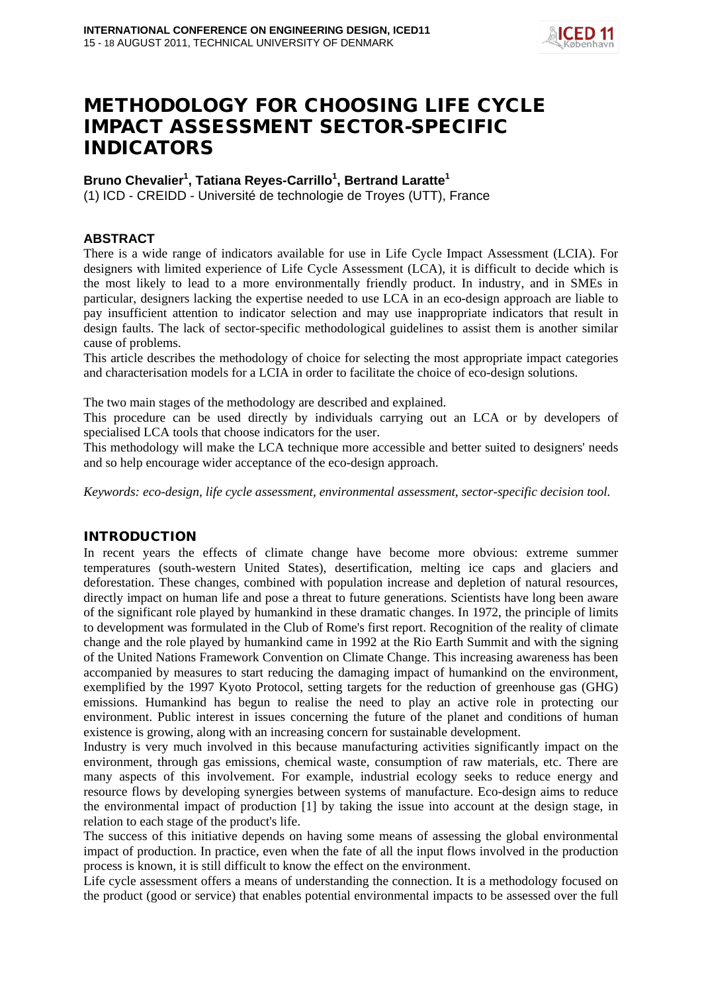

# METHODOLOGY FOR CHOOSING LIFE CYCLE IMPACT ASSESSMENT SECTOR-SPECIFIC INDICATORS

# **Bruno Chevalier1 , Tatiana Reyes-Carrillo<sup>1</sup> , Bertrand Laratte 1**

(1) ICD - CREIDD - Université de technologie de Troyes (UTT), France

# **ABSTRACT**

There is a wide range of indicators available for use in Life Cycle Impact Assessment (LCIA). For designers with limited experience of Life Cycle Assessment (LCA), it is difficult to decide which is the most likely to lead to a more environmentally friendly product. In industry, and in SMEs in particular, designers lacking the expertise needed to use LCA in an eco-design approach are liable to pay insufficient attention to indicator selection and may use inappropriate indicators that result in design faults. The lack of sector-specific methodological guidelines to assist them is another similar cause of problems.

This article describes the methodology of choice for selecting the most appropriate impact categories and characterisation models for a LCIA in order to facilitate the choice of eco-design solutions.

The two main stages of the methodology are described and explained.

This procedure can be used directly by individuals carrying out an LCA or by developers of specialised LCA tools that choose indicators for the user.

This methodology will make the LCA technique more accessible and better suited to designers' needs and so help encourage wider acceptance of the eco-design approach.

*Keywords: eco-design, life cycle assessment, environmental assessment, sector-specific decision tool.*

# INTRODUCTION

In recent years the effects of climate change have become more obvious: extreme summer temperatures (south-western United States), desertification, melting ice caps and glaciers and deforestation. These changes, combined with population increase and depletion of natural resources, directly impact on human life and pose a threat to future generations. Scientists have long been aware of the significant role played by humankind in these dramatic changes. In 1972, the principle of limits to development was formulated in the Club of Rome's first report. Recognition of the reality of climate change and the role played by humankind came in 1992 at the Rio Earth Summit and with the signing of the United Nations Framework Convention on Climate Change. This increasing awareness has been accompanied by measures to start reducing the damaging impact of humankind on the environment, exemplified by the 1997 Kyoto Protocol, setting targets for the reduction of greenhouse gas (GHG) emissions. Humankind has begun to realise the need to play an active role in protecting our environment. Public interest in issues concerning the future of the planet and conditions of human existence is growing, along with an increasing concern for sustainable development.

Industry is very much involved in this because manufacturing activities significantly impact on the environment, through gas emissions, chemical waste, consumption of raw materials, etc. There are many aspects of this involvement. For example, industrial ecology seeks to reduce energy and resource flows by developing synergies between systems of manufacture. Eco-design aims to reduce the environmental impact of production [1] by taking the issue into account at the design stage, in relation to each stage of the product's life.

The success of this initiative depends on having some means of assessing the global environmental impact of production. In practice, even when the fate of all the input flows involved in the production process is known, it is still difficult to know the effect on the environment.

Life cycle assessment offers a means of understanding the connection. It is a methodology focused on the product (good or service) that enables potential environmental impacts to be assessed over the full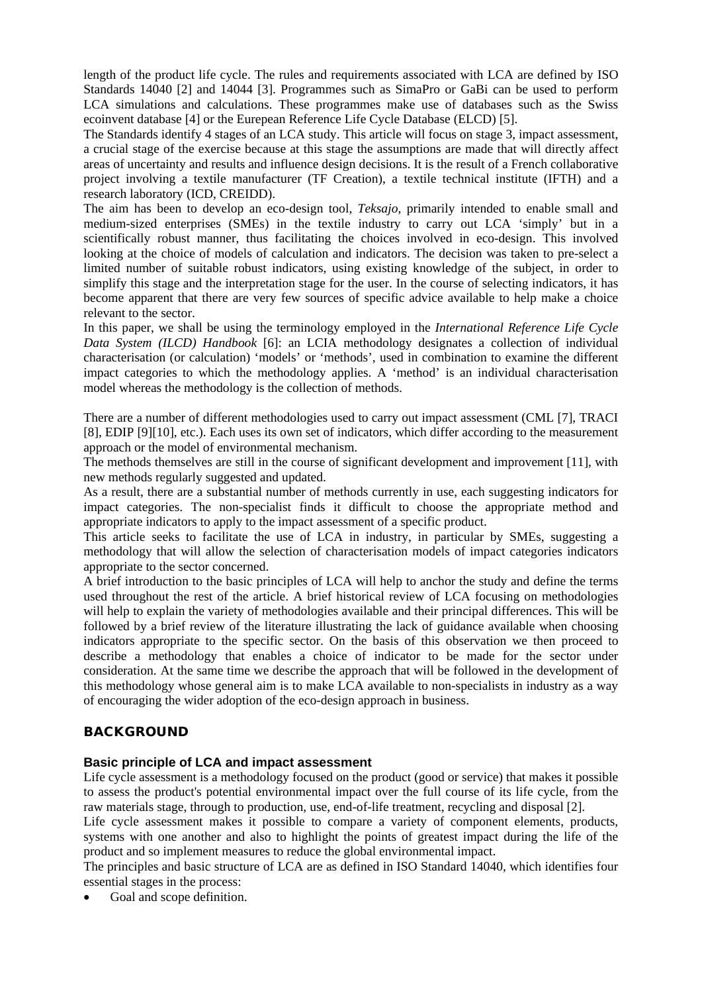length of the product life cycle. The rules and requirements associated with LCA are defined by ISO Standards 14040 [2] and 14044 [3]. Programmes such as SimaPro or GaBi can be used to perform LCA simulations and calculations. These programmes make use of databases such as the Swiss ecoinvent database [4] or the Eurepean Reference Life Cycle Database (ELCD) [5].

The Standards identify 4 stages of an LCA study. This article will focus on stage 3, impact assessment, a crucial stage of the exercise because at this stage the assumptions are made that will directly affect areas of uncertainty and results and influence design decisions. It is the result of a French collaborative project involving a textile manufacturer (TF Creation), a textile technical institute (IFTH) and a research laboratory (ICD, CREIDD).

The aim has been to develop an eco-design tool, *Teksajo*, primarily intended to enable small and medium-sized enterprises (SMEs) in the textile industry to carry out LCA 'simply' but in a scientifically robust manner, thus facilitating the choices involved in eco-design. This involved looking at the choice of models of calculation and indicators. The decision was taken to pre-select a limited number of suitable robust indicators, using existing knowledge of the subject, in order to simplify this stage and the interpretation stage for the user. In the course of selecting indicators, it has become apparent that there are very few sources of specific advice available to help make a choice relevant to the sector.

In this paper, we shall be using the terminology employed in the *International Reference Life Cycle Data System (ILCD) Handbook* [6]: an LCIA methodology designates a collection of individual characterisation (or calculation) 'models' or 'methods', used in combination to examine the different impact categories to which the methodology applies. A 'method' is an individual characterisation model whereas the methodology is the collection of methods.

There are a number of different methodologies used to carry out impact assessment (CML [7], TRACI [8], EDIP [9][10], etc.). Each uses its own set of indicators, which differ according to the measurement approach or the model of environmental mechanism.

The methods themselves are still in the course of significant development and improvement [11], with new methods regularly suggested and updated.

As a result, there are a substantial number of methods currently in use, each suggesting indicators for impact categories. The non-specialist finds it difficult to choose the appropriate method and appropriate indicators to apply to the impact assessment of a specific product.

This article seeks to facilitate the use of LCA in industry, in particular by SMEs, suggesting a methodology that will allow the selection of characterisation models of impact categories indicators appropriate to the sector concerned.

A brief introduction to the basic principles of LCA will help to anchor the study and define the terms used throughout the rest of the article. A brief historical review of LCA focusing on methodologies will help to explain the variety of methodologies available and their principal differences. This will be followed by a brief review of the literature illustrating the lack of guidance available when choosing indicators appropriate to the specific sector. On the basis of this observation we then proceed to describe a methodology that enables a choice of indicator to be made for the sector under consideration. At the same time we describe the approach that will be followed in the development of this methodology whose general aim is to make LCA available to non-specialists in industry as a way of encouraging the wider adoption of the eco-design approach in business.

# BACKGROUND

## **Basic principle of LCA and impact assessment**

Life cycle assessment is a methodology focused on the product (good or service) that makes it possible to assess the product's potential environmental impact over the full course of its life cycle, from the raw materials stage, through to production, use, end-of-life treatment, recycling and disposal [2].

Life cycle assessment makes it possible to compare a variety of component elements, products, systems with one another and also to highlight the points of greatest impact during the life of the product and so implement measures to reduce the global environmental impact.

The principles and basic structure of LCA are as defined in ISO Standard 14040, which identifies four essential stages in the process:

Goal and scope definition.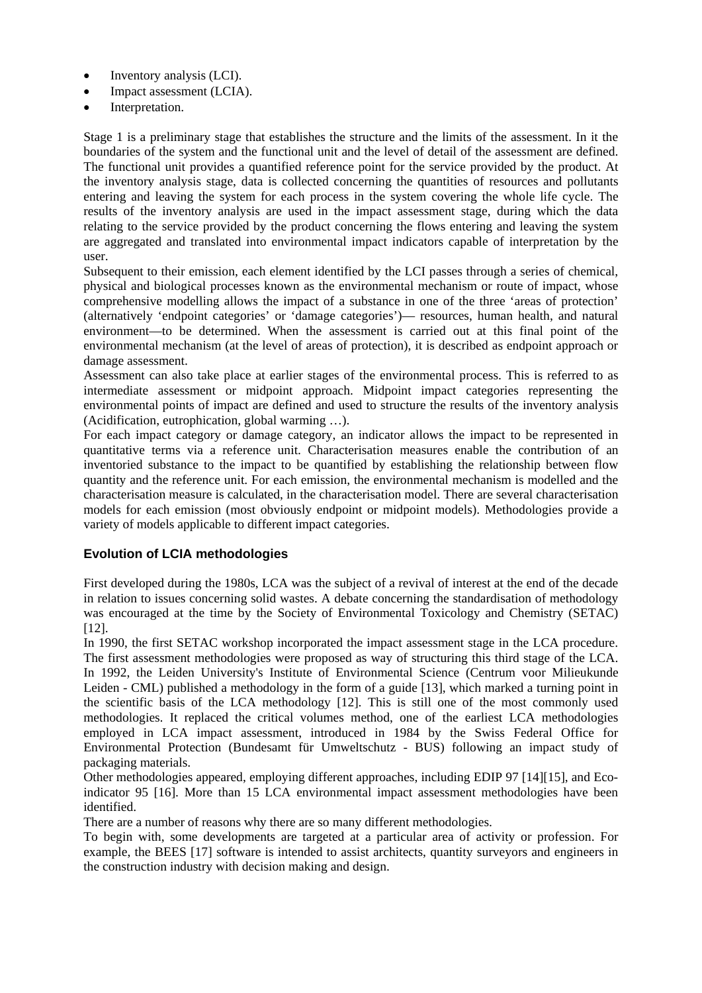- Inventory analysis (LCI).
- Impact assessment (LCIA).
- Interpretation.

Stage 1 is a preliminary stage that establishes the structure and the limits of the assessment. In it the boundaries of the system and the functional unit and the level of detail of the assessment are defined. The functional unit provides a quantified reference point for the service provided by the product. At the inventory analysis stage, data is collected concerning the quantities of resources and pollutants entering and leaving the system for each process in the system covering the whole life cycle. The results of the inventory analysis are used in the impact assessment stage, during which the data relating to the service provided by the product concerning the flows entering and leaving the system are aggregated and translated into environmental impact indicators capable of interpretation by the user.

Subsequent to their emission, each element identified by the LCI passes through a series of chemical, physical and biological processes known as the environmental mechanism or route of impact, whose comprehensive modelling allows the impact of a substance in one of the three 'areas of protection' (alternatively 'endpoint categories' or 'damage categories')— resources, human health, and natural environment—to be determined. When the assessment is carried out at this final point of the environmental mechanism (at the level of areas of protection), it is described as endpoint approach or damage assessment.

Assessment can also take place at earlier stages of the environmental process. This is referred to as intermediate assessment or midpoint approach. Midpoint impact categories representing the environmental points of impact are defined and used to structure the results of the inventory analysis (Acidification, eutrophication, global warming …).

For each impact category or damage category, an indicator allows the impact to be represented in quantitative terms via a reference unit. Characterisation measures enable the contribution of an inventoried substance to the impact to be quantified by establishing the relationship between flow quantity and the reference unit. For each emission, the environmental mechanism is modelled and the characterisation measure is calculated, in the characterisation model. There are several characterisation models for each emission (most obviously endpoint or midpoint models). Methodologies provide a variety of models applicable to different impact categories.

# **Evolution of LCIA methodologies**

First developed during the 1980s, LCA was the subject of a revival of interest at the end of the decade in relation to issues concerning solid wastes. A debate concerning the standardisation of methodology was encouraged at the time by the Society of Environmental Toxicology and Chemistry (SETAC) [12].

In 1990, the first SETAC workshop incorporated the impact assessment stage in the LCA procedure. The first assessment methodologies were proposed as way of structuring this third stage of the LCA. In 1992, the Leiden University's Institute of Environmental Science (Centrum voor Milieukunde Leiden - CML) published a methodology in the form of a guide [13], which marked a turning point in the scientific basis of the LCA methodology [12]. This is still one of the most commonly used methodologies. It replaced the critical volumes method, one of the earliest LCA methodologies employed in LCA impact assessment, introduced in 1984 by the Swiss Federal Office for Environmental Protection (Bundesamt für Umweltschutz - BUS) following an impact study of packaging materials.

Other methodologies appeared, employing different approaches, including EDIP 97 [14][15], and Ecoindicator 95 [16]. More than 15 LCA environmental impact assessment methodologies have been identified.

There are a number of reasons why there are so many different methodologies.

To begin with, some developments are targeted at a particular area of activity or profession. For example, the BEES [17] software is intended to assist architects, quantity surveyors and engineers in the construction industry with decision making and design.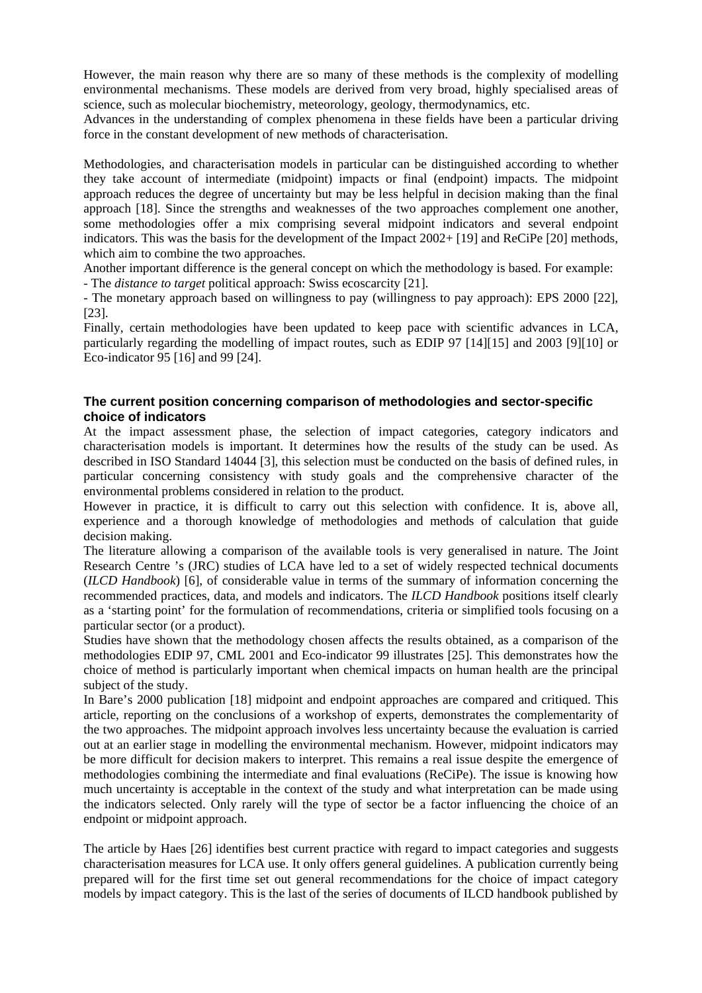However, the main reason why there are so many of these methods is the complexity of modelling environmental mechanisms. These models are derived from very broad, highly specialised areas of science, such as molecular biochemistry, meteorology, geology, thermodynamics, etc.

Advances in the understanding of complex phenomena in these fields have been a particular driving force in the constant development of new methods of characterisation.

Methodologies, and characterisation models in particular can be distinguished according to whether they take account of intermediate (midpoint) impacts or final (endpoint) impacts. The midpoint approach reduces the degree of uncertainty but may be less helpful in decision making than the final approach [18]. Since the strengths and weaknesses of the two approaches complement one another, some methodologies offer a mix comprising several midpoint indicators and several endpoint indicators. This was the basis for the development of the Impact 2002+ [19] and ReCiPe [20] methods, which aim to combine the two approaches.

Another important difference is the general concept on which the methodology is based. For example: - The *distance to target* political approach: Swiss ecoscarcity [21].

- The monetary approach based on willingness to pay (willingness to pay approach): EPS 2000 [22], [23].

Finally, certain methodologies have been updated to keep pace with scientific advances in LCA, particularly regarding the modelling of impact routes, such as EDIP 97 [14][15] and 2003 [9][10] or Eco-indicator 95 [16] and 99 [24].

## **The current position concerning comparison of methodologies and sector-specific choice of indicators**

At the impact assessment phase, the selection of impact categories, category indicators and characterisation models is important. It determines how the results of the study can be used. As described in ISO Standard 14044 [3], this selection must be conducted on the basis of defined rules, in particular concerning consistency with study goals and the comprehensive character of the environmental problems considered in relation to the product.

However in practice, it is difficult to carry out this selection with confidence. It is, above all, experience and a thorough knowledge of methodologies and methods of calculation that guide decision making.

The literature allowing a comparison of the available tools is very generalised in nature. The Joint Research Centre 's (JRC) studies of LCA have led to a set of widely respected technical documents (*ILCD Handbook*) [6], of considerable value in terms of the summary of information concerning the recommended practices, data, and models and indicators. The *ILCD Handbook* positions itself clearly as a 'starting point' for the formulation of recommendations, criteria or simplified tools focusing on a particular sector (or a product).

Studies have shown that the methodology chosen affects the results obtained, as a comparison of the methodologies EDIP 97, CML 2001 and Eco-indicator 99 illustrates [25]. This demonstrates how the choice of method is particularly important when chemical impacts on human health are the principal subject of the study.

In Bare's 2000 publication [18] midpoint and endpoint approaches are compared and critiqued. This article, reporting on the conclusions of a workshop of experts, demonstrates the complementarity of the two approaches. The midpoint approach involves less uncertainty because the evaluation is carried out at an earlier stage in modelling the environmental mechanism. However, midpoint indicators may be more difficult for decision makers to interpret. This remains a real issue despite the emergence of methodologies combining the intermediate and final evaluations (ReCiPe). The issue is knowing how much uncertainty is acceptable in the context of the study and what interpretation can be made using the indicators selected. Only rarely will the type of sector be a factor influencing the choice of an endpoint or midpoint approach.

The article by Haes [26] identifies best current practice with regard to impact categories and suggests characterisation measures for LCA use. It only offers general guidelines. A publication currently being prepared will for the first time set out general recommendations for the choice of impact category models by impact category. This is the last of the series of documents of ILCD handbook published by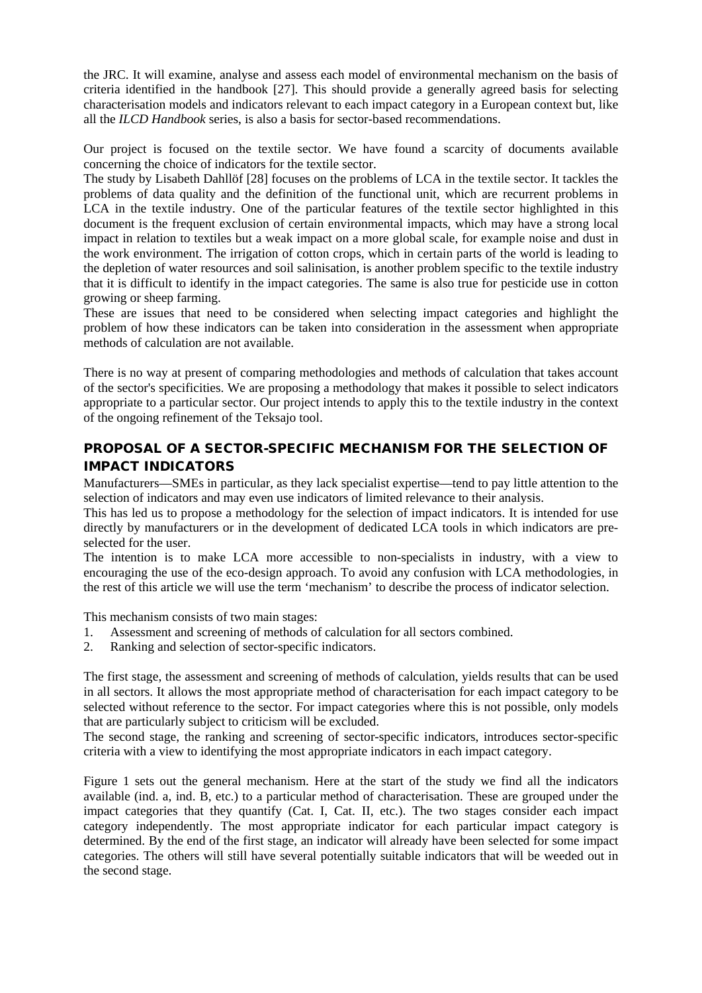the JRC. It will examine, analyse and assess each model of environmental mechanism on the basis of criteria identified in the handbook [27]. This should provide a generally agreed basis for selecting characterisation models and indicators relevant to each impact category in a European context but, like all the *ILCD Handbook* series, is also a basis for sector-based recommendations.

Our project is focused on the textile sector. We have found a scarcity of documents available concerning the choice of indicators for the textile sector.

The study by Lisabeth Dahllöf [28] focuses on the problems of LCA in the textile sector. It tackles the problems of data quality and the definition of the functional unit, which are recurrent problems in LCA in the textile industry. One of the particular features of the textile sector highlighted in this document is the frequent exclusion of certain environmental impacts, which may have a strong local impact in relation to textiles but a weak impact on a more global scale, for example noise and dust in the work environment. The irrigation of cotton crops, which in certain parts of the world is leading to the depletion of water resources and soil salinisation, is another problem specific to the textile industry that it is difficult to identify in the impact categories. The same is also true for pesticide use in cotton growing or sheep farming.

These are issues that need to be considered when selecting impact categories and highlight the problem of how these indicators can be taken into consideration in the assessment when appropriate methods of calculation are not available.

There is no way at present of comparing methodologies and methods of calculation that takes account of the sector's specificities. We are proposing a methodology that makes it possible to select indicators appropriate to a particular sector. Our project intends to apply this to the textile industry in the context of the ongoing refinement of the Teksajo tool.

# PROPOSAL OF A SECTOR-SPECIFIC MECHANISM FOR THE SELECTION OF IMPACT INDICATORS

Manufacturers—SMEs in particular, as they lack specialist expertise—tend to pay little attention to the selection of indicators and may even use indicators of limited relevance to their analysis.

This has led us to propose a methodology for the selection of impact indicators. It is intended for use directly by manufacturers or in the development of dedicated LCA tools in which indicators are preselected for the user.

The intention is to make LCA more accessible to non-specialists in industry, with a view to encouraging the use of the eco-design approach. To avoid any confusion with LCA methodologies, in the rest of this article we will use the term 'mechanism' to describe the process of indicator selection.

This mechanism consists of two main stages:

- 1. Assessment and screening of methods of calculation for all sectors combined.
- 2. Ranking and selection of sector-specific indicators.

The first stage, the assessment and screening of methods of calculation, yields results that can be used in all sectors. It allows the most appropriate method of characterisation for each impact category to be selected without reference to the sector. For impact categories where this is not possible, only models that are particularly subject to criticism will be excluded.

The second stage, the ranking and screening of sector-specific indicators, introduces sector-specific criteria with a view to identifying the most appropriate indicators in each impact category.

Figure 1 sets out the general mechanism. Here at the start of the study we find all the indicators available (ind. a, ind. B, etc.) to a particular method of characterisation. These are grouped under the impact categories that they quantify (Cat. I, Cat. II, etc.). The two stages consider each impact category independently. The most appropriate indicator for each particular impact category is determined. By the end of the first stage, an indicator will already have been selected for some impact categories. The others will still have several potentially suitable indicators that will be weeded out in the second stage.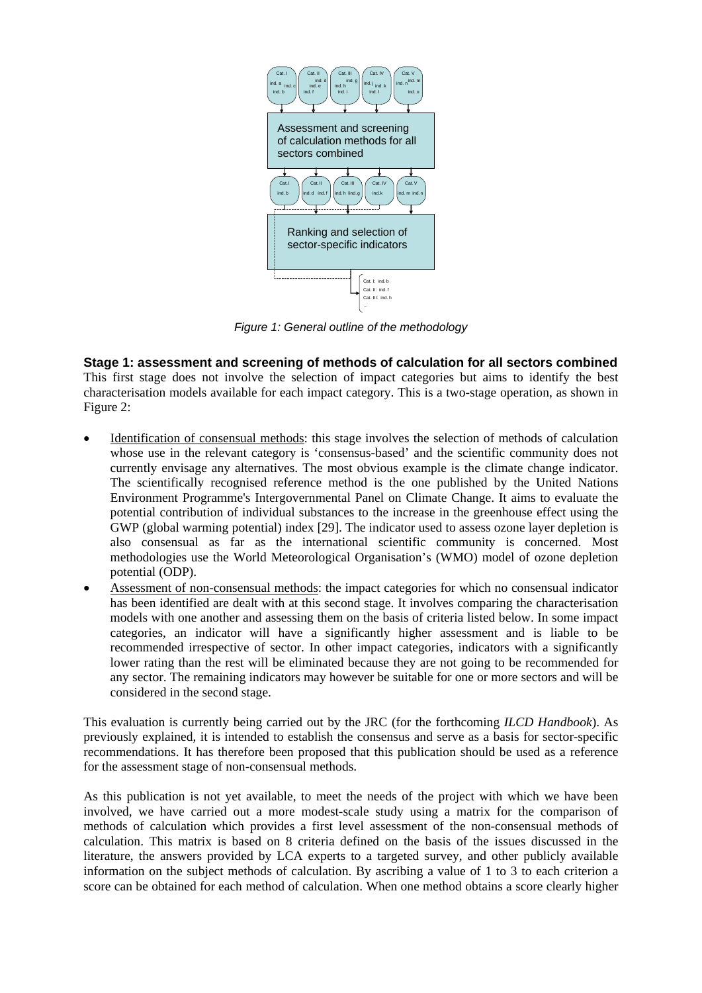

*Figure 1: General outline of the methodology*

**Stage 1: assessment and screening of methods of calculation for all sectors combined** This first stage does not involve the selection of impact categories but aims to identify the best characterisation models available for each impact category. This is a two-stage operation, as shown in Figure 2:

- Identification of consensual methods : this stage involves the selection of methods of calculation whose use in the relevant category is 'consensus-based' and the scientific community does not currently envisage any alternatives. The most obvious example is the climate change indicator. The scientifically recognised reference method is the one published by the United Nations Environment Programme's Intergovernmental Panel on Climate Change. It aims to evaluate the potential contribution of individual substances to the increase in the greenhouse effect using the GWP (global warming potential) index [29]. The indicator used to assess ozone layer depletion is also consensual as far as the international scientific community is concerned. Most methodologies use the World Meteorological Organisation's (WMO) model of ozone depletion potential (ODP).
- Assessment of non-consensual methods: the impact categories for which no consensual indicator has been identified are dealt with at this second stage. It involves comparing the characterisation models with one another and assessing them on the basis of criteria listed below. In some impact categories, an indicator will have a significantly higher assessment and is liable to be recommended irrespective of sector. In other impact categories, indicators with a significantly lower rating than the rest will be eliminated because they are not going to be recommended for any sector. The remaining indicators may however be suitable for one or more sectors and will be considered in the second stage.

This evaluation is currently being carried out by the JRC (for the forthcoming *ILCD Handbook*). As previously explained, it is intended to establish the consensus and serve as a basis for sector-specific recommendations. It has therefore been proposed that this publication should be used as a reference for the assessment stage of non-consensual methods.

As this publication is not yet available, to meet the needs of the project with which we have been involved, we have carried out a more modest-scale study using a matrix for the comparison of methods of calculation which provides a first level assessment of the non-consensual methods of calculation. This matrix is based on 8 criteria defined on the basis of the issues discussed in the literature, the answers provided by LCA experts to a targeted survey, and other publicly available information on the subject methods of calculation. By ascribing a value of 1 to 3 to each criterion a score can be obtained for each method of calculation. When one method obtains a score clearly higher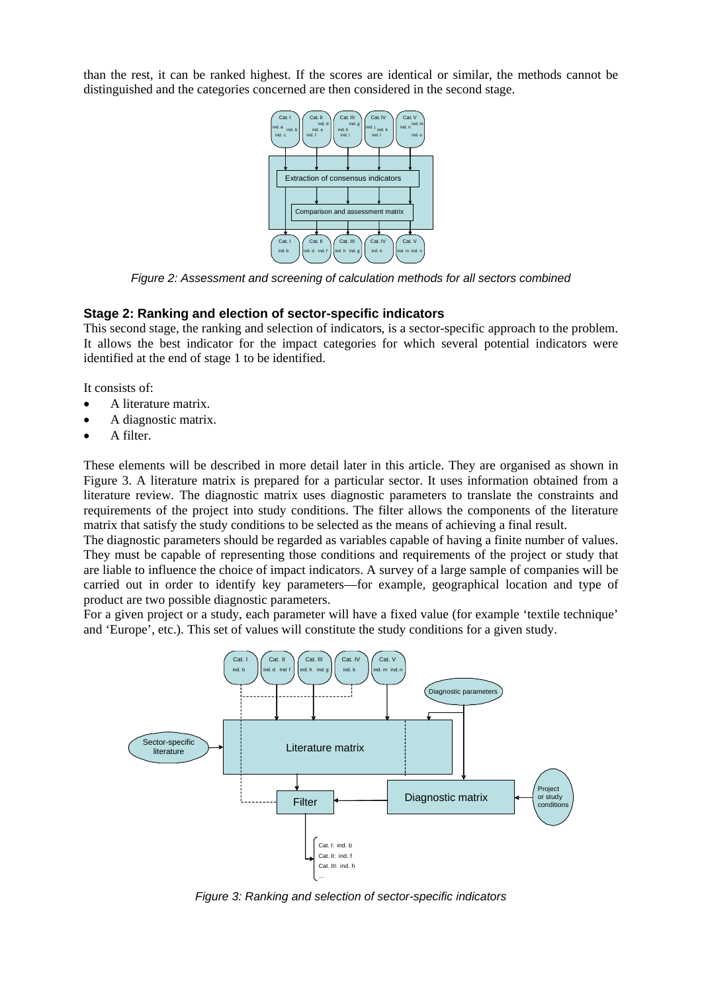than the rest, it can be ranked highest. If the scores are identical or similar, the methods cannot be distinguished and the categories concerned are then considered in the second stage.



*Figure 2: Assessment and screening of calculation methods for all sectors combined*

#### **Stage 2: Ranking and election of sector-specific indicators**

This second stage, the ranking and selection of indicators, is a sector-specific approach to the problem. It allows the best indicator for the impact categories for which several potential indicators were identified at the end of stage 1 to be identified.

It consists of:

- A literature matrix.
- A diagnostic matrix.
- A filter.

These elements will be described in more detail later in this article. They are organised as shown in Figure 3. A literature matrix is prepared for a particular sector. It uses information obtained from a literature review. The diagnostic matrix uses diagnostic parameters to translate the constraints and requirements of the project into study conditions. The filter allows the components of the literature matrix that satisfy the study conditions to be selected as the means of achieving a final result.

The diagnostic parameters should be regarded as variables capable of having a finite number of values. They must be capable of representing those conditions and requirements of the project or study that are liable to influence the choice of impact indicators. A survey of a large sample of companies will be carried out in order to identify key parameters—for example, geographical location and type of product are two possible diagnostic parameters.

For a given project or a study, each parameter will have a fixed value (for example 'textile technique' and 'Europe', etc.). This set of values will constitute the study conditions for a given study.



*Figure 3: Ranking and selection of sector-specific indicators*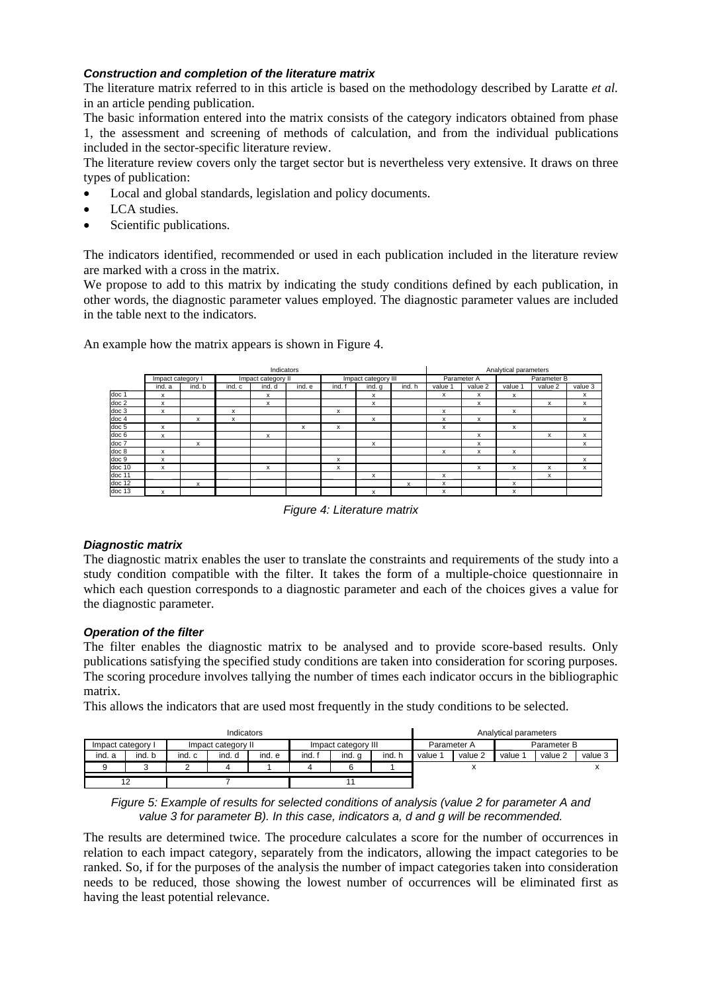## *Construction and completion of the literature matrix*

The literature matrix referred to in this article is based on the methodology described by Laratte *et al.* in an article pending publication.

The basic information entered into the matrix consists of the category indicators obtained from phase 1, the assessment and screening of methods of calculation, and from the individual publications included in the sector-specific literature review.

The literature review covers only the target sector but is nevertheless very extensive. It draws on three types of publication:

- Local and global standards, legislation and policy documents.
- LCA studies.
- Scientific publications.

The indicators identified, recommended or used in each publication included in the literature review are marked with a cross in the matrix.

We propose to add to this matrix by indicating the study conditions defined by each publication, in other words, the diagnostic parameter values employed. The diagnostic parameter values are included in the table next to the indicators.

|                  | Indicators        |                           |                    |        |        |                     |        |        |             | Analytical parameters |             |         |         |  |
|------------------|-------------------|---------------------------|--------------------|--------|--------|---------------------|--------|--------|-------------|-----------------------|-------------|---------|---------|--|
|                  | Impact category I |                           | Impact category II |        |        | Impact category III |        |        | Parameter A |                       | Parameter B |         |         |  |
|                  | ind. a            | ind, b                    | ind. c             | ind. d | ind, e | ind. f              | ind. q | ind. h | value 1     | value 2               | value 1     | value 2 | value 3 |  |
| doc 1            | x                 |                           |                    | X      |        |                     | X      |        | x           | x                     | X           |         | x       |  |
| doc 2            | x                 |                           |                    | x      |        |                     | x      |        |             | x                     |             | x       | x       |  |
| doc 3            | x                 |                           | x                  |        |        | x                   |        |        | x           |                       | X           |         |         |  |
| doc <sub>4</sub> |                   | x                         | x                  |        |        |                     | x      |        | x           | x                     |             |         | x       |  |
| doc <sub>5</sub> | x                 |                           |                    |        | x      | x                   |        |        | x           |                       | x           |         |         |  |
| doc <sub>6</sub> | x                 |                           |                    | x      |        |                     |        |        |             | x                     |             | x       | x       |  |
| doc 7            |                   | x                         |                    |        |        |                     | X      |        |             | x                     |             |         | x       |  |
| doc 8            | x                 |                           |                    |        |        |                     |        |        | x           | x                     | X           |         |         |  |
| doc 9            | x                 |                           |                    |        |        | x                   |        |        |             |                       |             |         | x       |  |
| doc 10           | x                 |                           |                    | x      |        | x                   |        |        |             | x                     | x           | x       | x       |  |
| doc 11           |                   |                           |                    |        |        |                     | x      |        | x           |                       |             | x       |         |  |
| doc 12           |                   | $\boldsymbol{\mathsf{x}}$ |                    |        |        |                     |        | x      | x           |                       | X           |         |         |  |
| $d$ oc 13        | x                 |                           |                    |        |        |                     | x      |        | x           |                       | x           |         |         |  |

An example how the matrix appears is shown in Figure 4.

*Figure 4: Literature matrix*

## *Diagnostic matrix*

The diagnostic matrix enables the user to translate the constraints and requirements of the study into a study condition compatible with the filter. It takes the form of a multiple-choice questionnaire in which each question corresponds to a diagnostic parameter and each of the choices gives a value for the diagnostic parameter.

## *Operation of the filter*

The filter enables the diagnostic matrix to be analysed and to provide score-based results. Only publications satisfying the specified study conditions are taken into consideration for scoring purposes. The scoring procedure involves tallying the number of times each indicator occurs in the bibliographic matrix.

This allows the indicators that are used most frequently in the study conditions to be selected.

| Indicators        |        |                    |        |        |                     |        |      |             | Analytical parameters |             |         |         |  |  |
|-------------------|--------|--------------------|--------|--------|---------------------|--------|------|-------------|-----------------------|-------------|---------|---------|--|--|
| Impact category I |        | Impact category II |        |        | Impact category III |        |      | Parameter A |                       | Parameter B |         |         |  |  |
| ind. a            | ind. b | ind. c             | ind. d | ind. e | ind.                | ind. a | ind. | value 1     | value 2               | value 1     | value 2 | value 3 |  |  |
|                   |        |                    |        |        |                     |        |      |             | ́                     |             |         |         |  |  |
|                   |        |                    |        |        |                     |        |      |             |                       |             |         |         |  |  |

*Figure 5: Example of results for selected conditions of analysis (value 2 for parameter A and value 3 for parameter B). In this case, indicators a, d and g will be recommended.*

The results are determined twice. The procedure calculates a score for the number of occurrences in relation to each impact category, separately from the indicators, allowing the impact categories to be ranked. So, if for the purposes of the analysis the number of impact categories taken into consideration needs to be reduced, those showing the lowest number of occurrences will be eliminated first as having the least potential relevance.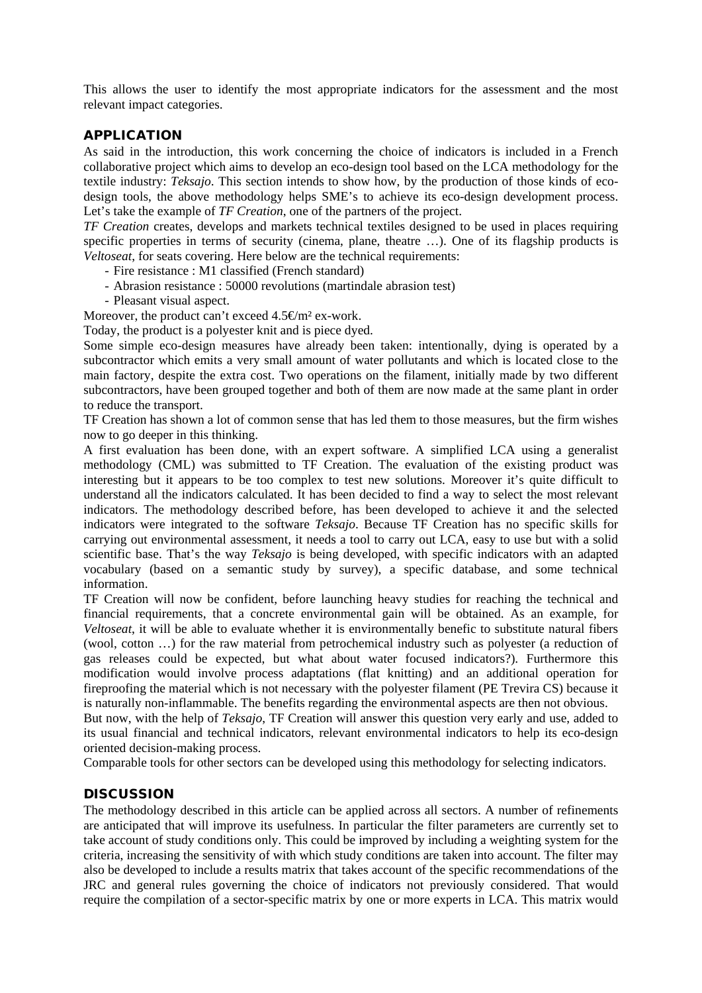This allows the user to identify the most appropriate indicators for the assessment and the most relevant impact categories.

# APPLICATION

As said in the introduction, this work concerning the choice of indicators is included in a French collaborative project which aims to develop an eco-design tool based on the LCA methodology for the textile industry: *Teksajo*. This section intends to show how, by the production of those kinds of ecodesign tools, the above methodology helps SME's to achieve its eco-design development process. Let's take the example of *TF Creation*, one of the partners of the project.

*TF Creation* creates, develops and markets technical textiles designed to be used in places requiring specific properties in terms of security (cinema, plane, theatre ...). One of its flagship products is *Veltoseat*, for seats covering. Here below are the technical requirements:

- Fire resistance : M1 classified (French standard)
- Abrasion resistance : 50000 revolutions (martindale abrasion test)
- Pleasant visual aspect.

Moreover, the product can't exceed  $4.5\mathcal{m}^2$  ex-work.

Today, the product is a polyester knit and is piece dyed.

Some simple eco-design measures have already been taken: intentionally, dying is operated by a subcontractor which emits a very small amount of water pollutants and which is located close to the main factory, despite the extra cost. Two operations on the filament, initially made by two different subcontractors, have been grouped together and both of them are now made at the same plant in order to reduce the transport.

TF Creation has shown a lot of common sense that has led them to those measures, but the firm wishes now to go deeper in this thinking.

A first evaluation has been done, with an expert software. A simplified LCA using a generalist methodology (CML) was submitted to TF Creation. The evaluation of the existing product was interesting but it appears to be too complex to test new solutions. Moreover it's quite difficult to understand all the indicators calculated. It has been decided to find a way to select the most relevant indicators. The methodology described before, has been developed to achieve it and the selected indicators were integrated to the software *Teksajo*. Because TF Creation has no specific skills for carrying out environmental assessment, it needs a tool to carry out LCA, easy to use but with a solid scientific base. That's the way *Teksajo* is being developed, with specific indicators with an adapted vocabulary (based on a semantic study by survey), a specific database, and some technical information.

TF Creation will now be confident, before launching heavy studies for reaching the technical and financial requirements, that a concrete environmental gain will be obtained. As an example, for *Veltoseat*, it will be able to evaluate whether it is environmentally benefic to substitute natural fibers (wool, cotton …) for the raw material from petrochemical industry such as polyester (a reduction of gas releases could be expected, but what about water focused indicators?). Furthermore this modification would involve process adaptations (flat knitting) and an additional operation for fireproofing the material which is not necessary with the polyester filament (PE Trevira CS) because it is naturally non-inflammable. The benefits regarding the environmental aspects are then not obvious.

But now, with the help of *Teksajo*, TF Creation will answer this question very early and use, added to its usual financial and technical indicators, relevant environmental indicators to help its eco-design oriented decision-making process.

Comparable tools for other sectors can be developed using this methodology for selecting indicators.

# **DISCUSSION**

The methodology described in this article can be applied across all sectors. A number of refinements are anticipated that will improve its usefulness. In particular the filter parameters are currently set to take account of study conditions only. This could be improved by including a weighting system for the criteria, increasing the sensitivity of with which study conditions are taken into account. The filter may also be developed to include a results matrix that takes account of the specific recommendations of the JRC and general rules governing the choice of indicators not previously considered. That would require the compilation of a sector-specific matrix by one or more experts in LCA. This matrix would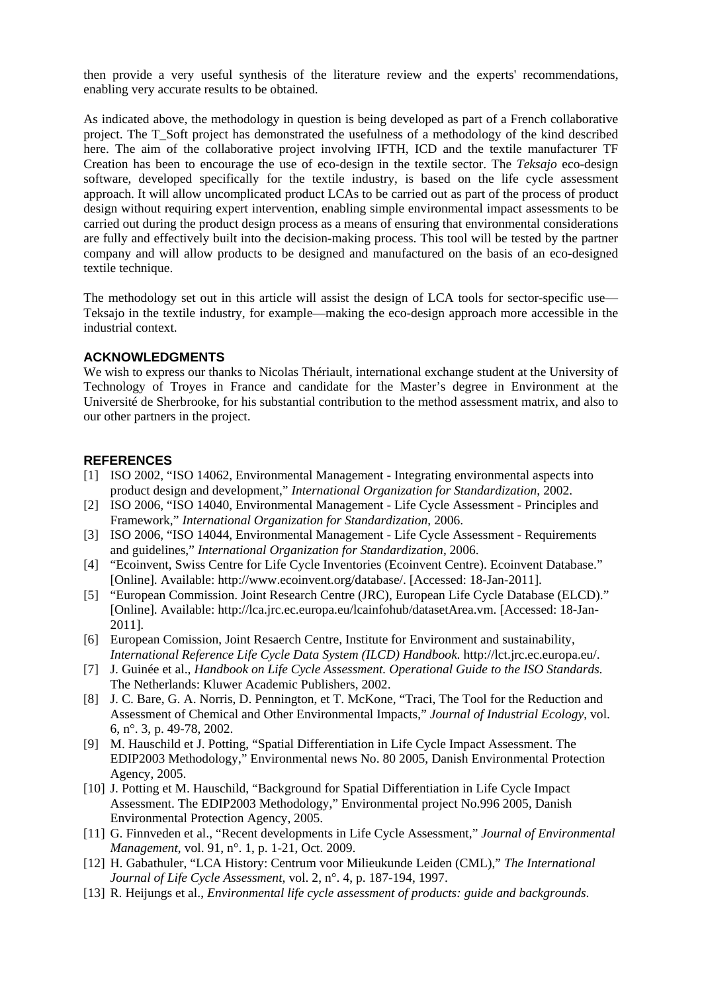then provide a very useful synthesis of the literature review and the experts' recommendations, enabling very accurate results to be obtained.

As indicated above, the methodology in question is being developed as part of a French collaborative project. The T\_Soft project has demonstrated the usefulness of a methodology of the kind described here. The aim of the collaborative project involving IFTH, ICD and the textile manufacturer TF Creation has been to encourage the use of eco-design in the textile sector. The *Teksajo* eco-design software, developed specifically for the textile industry, is based on the life cycle assessment approach. It will allow uncomplicated product LCAs to be carried out as part of the process of product design without requiring expert intervention, enabling simple environmental impact assessments to be carried out during the product design process as a means of ensuring that environmental considerations are fully and effectively built into the decision-making process. This tool will be tested by the partner company and will allow products to be designed and manufactured on the basis of an eco-designed textile technique.

The methodology set out in this article will assist the design of LCA tools for sector-specific use— Teksajo in the textile industry, for example—making the eco-design approach more accessible in the industrial context.

## **ACKNOWLEDGMENTS**

We wish to express our thanks to Nicolas Thériault, international exchange student at the University of Technology of Troyes in France and candidate for the Master's degree in Environment at the Université de Sherbrooke, for his substantial contribution to the method assessment matrix, and also to our other partners in the project.

#### **REFERENCES**

- [1] ISO 2002, "ISO 14062, Environmental Management Integrating environmental aspects into product design and development," *International Organization for Standardization*, 2002.
- [2] ISO 2006, "ISO 14040, Environmental Management Life Cycle Assessment Principles and Framework," *International Organization for Standardization*, 2006.
- [3] ISO 2006, "ISO 14044, Environmental Management Life Cycle Assessment Requirements and guidelines," *International Organization for Standardization*, 2006.
- [4] "Ecoinvent, Swiss Centre for Life Cycle Inventories (Ecoinvent Centre). Ecoinvent Database." [Online]. Available: http://www.ecoinvent.org/database/. [Accessed: 18-Jan-2011].
- [5] "European Commission. Joint Research Centre (JRC), European Life Cycle Database (ELCD)." [Online]. Available: http://lca.jrc.ec.europa.eu/lcainfohub/datasetArea.vm. [Accessed: 18-Jan-2011].
- [6] European Comission, Joint Resaerch Centre, Institute for Environment and sustainability, *International Reference Life Cycle Data System (ILCD) Handbook*. http://lct.jrc.ec.europa.eu/.
- [7] J. Guinée et al., *Handbook on Life Cycle Assessment. Operational Guide to the ISO Standards*. The Netherlands: Kluwer Academic Publishers, 2002.
- [8] J. C. Bare, G. A. Norris, D. Pennington, et T. McKone, "Traci, The Tool for the Reduction and Assessment of Chemical and Other Environmental Impacts," *Journal of Industrial Ecology*, vol. 6, n°. 3, p. 49-78, 2002.
- [9] M. Hauschild et J. Potting, "Spatial Differentiation in Life Cycle Impact Assessment. The EDIP2003 Methodology," Environmental news No. 80 2005, Danish Environmental Protection Agency, 2005.
- [10] J. Potting et M. Hauschild, "Background for Spatial Differentiation in Life Cycle Impact Assessment. The EDIP2003 Methodology," Environmental project No.996 2005, Danish Environmental Protection Agency, 2005.
- [11] G. Finnveden et al., "Recent developments in Life Cycle Assessment," *Journal of Environmental Management*, vol. 91, n°. 1, p. 1-21, Oct. 2009.
- [12] H. Gabathuler, "LCA History: Centrum voor Milieukunde Leiden (CML)," *The International Journal of Life Cycle Assessment*, vol. 2, n°. 4, p. 187-194, 1997.
- [13] R. Heijungs et al., *Environmental life cycle assessment of products: guide and backgrounds*.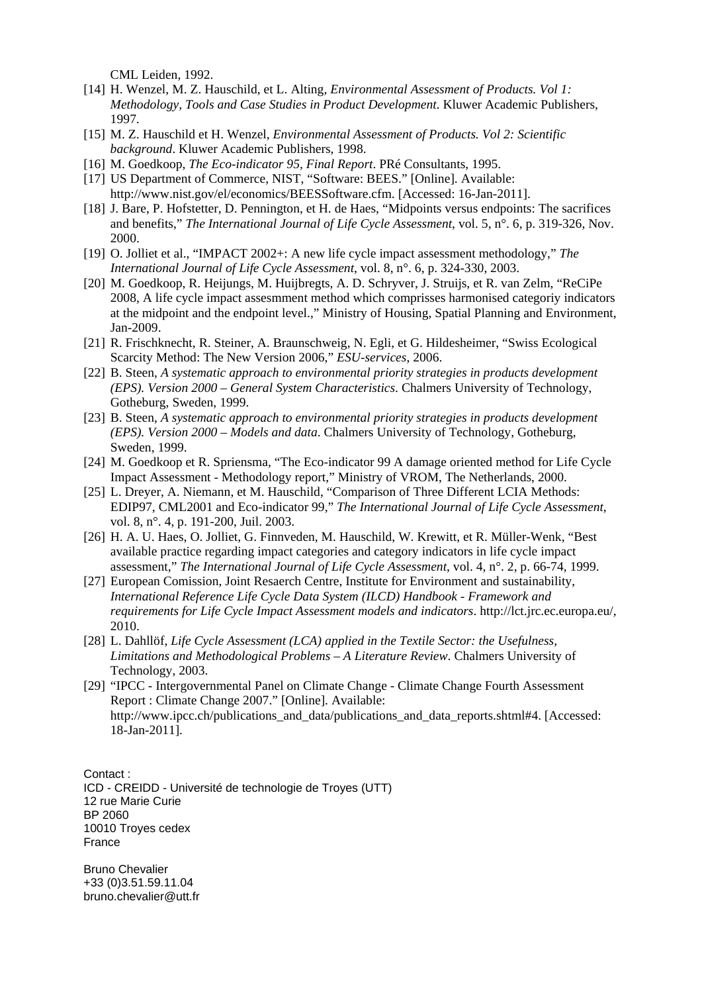CML Leiden, 1992.

- [14] H. Wenzel, M. Z. Hauschild, et L. Alting, *Environmental Assessment of Products. Vol 1: Methodology, Tools and Case Studies in Product Development*. Kluwer Academic Publishers, 1997.
- [15] M. Z. Hauschild et H. Wenzel, *Environmental Assessment of Products. Vol 2: Scientific background*. Kluwer Academic Publishers, 1998.
- [16] M. Goedkoop, *The Eco-indicator 95, Final Report*. PRé Consultants, 1995.
- [17] US Department of Commerce, NIST, "Software: BEES." [Online]. Available: http://www.nist.gov/el/economics/BEESSoftware.cfm. [Accessed: 16-Jan-2011].
- [18] J. Bare, P. Hofstetter, D. Pennington, et H. de Haes, "Midpoints versus endpoints: The sacrifices and benefits," *The International Journal of Life Cycle Assessment*, vol. 5, n°. 6, p. 319-326, Nov. 2000.
- [19] O. Jolliet et al., "IMPACT 2002+: A new life cycle impact assessment methodology," *The International Journal of Life Cycle Assessment*, vol. 8, n°. 6, p. 324-330, 2003.
- [20] M. Goedkoop, R. Heijungs, M. Huijbregts, A. D. Schryver, J. Struijs, et R. van Zelm, "ReCiPe 2008, A life cycle impact assesmment method which comprisses harmonised categoriy indicators at the midpoint and the endpoint level.," Ministry of Housing, Spatial Planning and Environment, Jan-2009.
- [21] R. Frischknecht, R. Steiner, A. Braunschweig, N. Egli, et G. Hildesheimer, "Swiss Ecological Scarcity Method: The New Version 2006," *ESU-services*, 2006.
- [22] B. Steen, *A systematic approach to environmental priority strategies in products development (EPS). Version 2000 – General System Characteristics*. Chalmers University of Technology, Gotheburg, Sweden, 1999.
- [23] B. Steen, *A systematic approach to environmental priority strategies in products development (EPS). Version 2000 – Models and data*. Chalmers University of Technology, Gotheburg, Sweden, 1999.
- [24] M. Goedkoop et R. Spriensma, "The Eco-indicator 99 A damage oriented method for Life Cycle Impact Assessment - Methodology report," Ministry of VROM, The Netherlands, 2000.
- [25] L. Dreyer, A. Niemann, et M. Hauschild, "Comparison of Three Different LCIA Methods: EDIP97, CML2001 and Eco-indicator 99," *The International Journal of Life Cycle Assessment*, vol. 8, n°. 4, p. 191-200, Juil. 2003.
- [26] H. A. U. Haes, O. Jolliet, G. Finnveden, M. Hauschild, W. Krewitt, et R. Müller-Wenk, "Best available practice regarding impact categories and category indicators in life cycle impact assessment," *The International Journal of Life Cycle Assessment*, vol. 4, n°. 2, p. 66-74, 1999.
- [27] European Comission, Joint Resaerch Centre, Institute for Environment and sustainability, *International Reference Life Cycle Data System (ILCD) Handbook - Framework and requirements for Life Cycle Impact Assessment models and indicators*. http://lct.jrc.ec.europa.eu/, 2010.
- [28] L. Dahllöf, *Life Cycle Assessment (LCA) applied in the Textile Sector: the Usefulness, Limitations and Methodological Problems – A Literature Review*. Chalmers University of Technology, 2003.
- [29] "IPCC Intergovernmental Panel on Climate Change Climate Change Fourth Assessment Report : Climate Change 2007." [Online]. Available: http://www.ipcc.ch/publications\_and\_data/publications\_and\_data\_reports.shtml#4. [Accessed: 18-Jan-2011].

Contact : ICD - CREIDD - Université de technologie de Troyes (UTT) 12 rue Marie Curie BP 2060 10010 Troyes cedex France

Bruno Chevalier +33 (0)3.51.59.11.04 bruno.chevalier@utt.fr